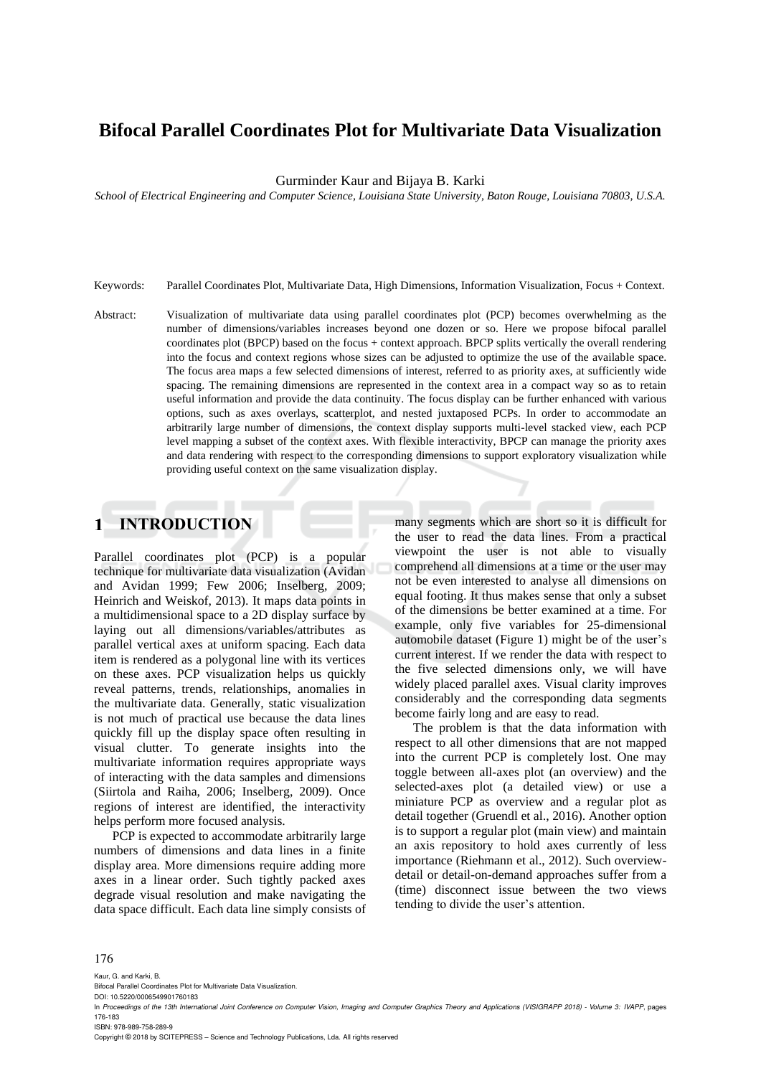# **Bifocal Parallel Coordinates Plot for Multivariate Data Visualization**

Gurminder Kaur and Bijaya B. Karki

*School of Electrical Engineering and Computer Science, Louisiana State University, Baton Rouge, Louisiana 70803, U.S.A.*

- Keywords: Parallel Coordinates Plot, Multivariate Data, High Dimensions, Information Visualization, Focus + Context.
- Abstract: Visualization of multivariate data using parallel coordinates plot (PCP) becomes overwhelming as the number of dimensions/variables increases beyond one dozen or so. Here we propose bifocal parallel coordinates plot (BPCP) based on the focus + context approach. BPCP splits vertically the overall rendering into the focus and context regions whose sizes can be adjusted to optimize the use of the available space. The focus area maps a few selected dimensions of interest, referred to as priority axes, at sufficiently wide spacing. The remaining dimensions are represented in the context area in a compact way so as to retain useful information and provide the data continuity. The focus display can be further enhanced with various options, such as axes overlays, scatterplot, and nested juxtaposed PCPs. In order to accommodate an arbitrarily large number of dimensions, the context display supports multi-level stacked view, each PCP level mapping a subset of the context axes. With flexible interactivity, BPCP can manage the priority axes and data rendering with respect to the corresponding dimensions to support exploratory visualization while providing useful context on the same visualization display.

#### **INTRODUCTION**  $\mathbf{1}$

Parallel coordinates plot (PCP) is a popular technique for multivariate data visualization (Avidan and Avidan 1999; Few 2006; Inselberg, 2009; Heinrich and Weiskof, 2013). It maps data points in a multidimensional space to a 2D display surface by laying out all dimensions/variables/attributes as parallel vertical axes at uniform spacing. Each data item is rendered as a polygonal line with its vertices on these axes. PCP visualization helps us quickly reveal patterns, trends, relationships, anomalies in the multivariate data. Generally, static visualization is not much of practical use because the data lines quickly fill up the display space often resulting in visual clutter. To generate insights into the multivariate information requires appropriate ways of interacting with the data samples and dimensions (Siirtola and Raiha, 2006; Inselberg, 2009). Once regions of interest are identified, the interactivity helps perform more focused analysis.

PCP is expected to accommodate arbitrarily large numbers of dimensions and data lines in a finite display area. More dimensions require adding more axes in a linear order. Such tightly packed axes degrade visual resolution and make navigating the data space difficult. Each data line simply consists of many segments which are short so it is difficult for the user to read the data lines. From a practical viewpoint the user is not able to visually comprehend all dimensions at a time or the user may not be even interested to analyse all dimensions on equal footing. It thus makes sense that only a subset of the dimensions be better examined at a time. For example, only five variables for 25-dimensional automobile dataset (Figure 1) might be of the user's current interest. If we render the data with respect to the five selected dimensions only, we will have widely placed parallel axes. Visual clarity improves considerably and the corresponding data segments become fairly long and are easy to read.

The problem is that the data information with respect to all other dimensions that are not mapped into the current PCP is completely lost. One may toggle between all-axes plot (an overview) and the selected-axes plot (a detailed view) or use a miniature PCP as overview and a regular plot as detail together (Gruendl et al., 2016). Another option is to support a regular plot (main view) and maintain an axis repository to hold axes currently of less importance (Riehmann et al., 2012). Such overviewdetail or detail-on-demand approaches suffer from a (time) disconnect issue between the two views tending to divide the user's attention.

### 176

Kaur, G. and Karki, B.

Bifocal Parallel Coordinates Plot for Multivariate Data Visualization.

DOI: 10.5220/0006549901760183

ISBN: 978-989-758-289-9

Copyright © 2018 by SCITEPRESS – Science and Technology Publications, Lda. All rights reserved

In *Proceedings of the 13th International Joint Conference on Computer Vision, Imaging and Computer Graphics Theory and Applications (VISIGRAPP 2018) - Volume 3: IVAPP*, pages 176-183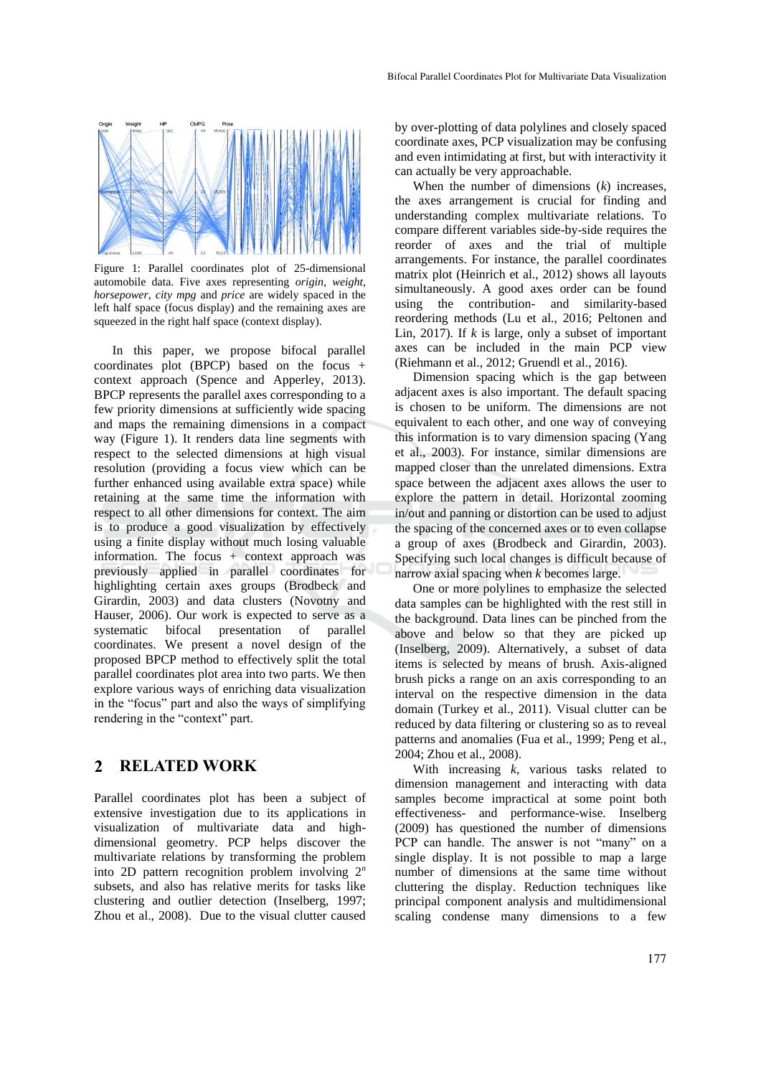

Figure 1: Parallel coordinates plot of 25-dimensional automobile data. Five axes representing *origin, weight, horsepower, city mpg* and *price* are widely spaced in the left half space (focus display) and the remaining axes are squeezed in the right half space (context display).

In this paper, we propose bifocal parallel coordinates plot (BPCP) based on the focus + context approach (Spence and Apperley, 2013). BPCP represents the parallel axes corresponding to a few priority dimensions at sufficiently wide spacing and maps the remaining dimensions in a compact way (Figure 1). It renders data line segments with respect to the selected dimensions at high visual resolution (providing a focus view which can be further enhanced using available extra space) while retaining at the same time the information with respect to all other dimensions for context. The aim is to produce a good visualization by effectively using a finite display without much losing valuable information. The focus + context approach was previously applied in parallel coordinates for highlighting certain axes groups (Brodbeck and Girardin, 2003) and data clusters (Novotny and Hauser, 2006). Our work is expected to serve as a systematic bifocal presentation of parallel coordinates. We present a novel design of the proposed BPCP method to effectively split the total parallel coordinates plot area into two parts. We then explore various ways of enriching data visualization in the "focus" part and also the ways of simplifying rendering in the "context" part.

#### **RELATED WORK**  $\mathbf{2}$

Parallel coordinates plot has been a subject of extensive investigation due to its applications in visualization of multivariate data and highdimensional geometry. PCP helps discover the multivariate relations by transforming the problem into 2D pattern recognition problem involving 2*<sup>n</sup>* subsets, and also has relative merits for tasks like clustering and outlier detection (Inselberg, 1997; Zhou et al., 2008). Due to the visual clutter caused

by over-plotting of data polylines and closely spaced coordinate axes, PCP visualization may be confusing and even intimidating at first, but with interactivity it can actually be very approachable.

When the number of dimensions (*k*) increases, the axes arrangement is crucial for finding and understanding complex multivariate relations. To compare different variables side-by-side requires the reorder of axes and the trial of multiple arrangements. For instance, the parallel coordinates matrix plot (Heinrich et al., 2012) shows all layouts simultaneously. A good axes order can be found using the contribution- and similarity-based reordering methods (Lu et al., 2016; Peltonen and Lin, 2017). If *k* is large, only a subset of important axes can be included in the main PCP view (Riehmann et al., 2012; Gruendl et al., 2016).

Dimension spacing which is the gap between adjacent axes is also important. The default spacing is chosen to be uniform. The dimensions are not equivalent to each other, and one way of conveying this information is to vary dimension spacing (Yang et al., 2003). For instance, similar dimensions are mapped closer than the unrelated dimensions. Extra space between the adjacent axes allows the user to explore the pattern in detail. Horizontal zooming in/out and panning or distortion can be used to adjust the spacing of the concerned axes or to even collapse a group of axes (Brodbeck and Girardin, 2003). Specifying such local changes is difficult because of narrow axial spacing when *k* becomes large.

One or more polylines to emphasize the selected data samples can be highlighted with the rest still in the background. Data lines can be pinched from the above and below so that they are picked up (Inselberg, 2009). Alternatively, a subset of data items is selected by means of brush. Axis-aligned brush picks a range on an axis corresponding to an interval on the respective dimension in the data domain (Turkey et al., 2011). Visual clutter can be reduced by data filtering or clustering so as to reveal patterns and anomalies (Fua et al., 1999; Peng et al., 2004; Zhou et al., 2008).

With increasing *k*, various tasks related to dimension management and interacting with data samples become impractical at some point both effectiveness- and performance-wise. Inselberg (2009) has questioned the number of dimensions PCP can handle. The answer is not "many" on a single display. It is not possible to map a large number of dimensions at the same time without cluttering the display. Reduction techniques like principal component analysis and multidimensional scaling condense many dimensions to a few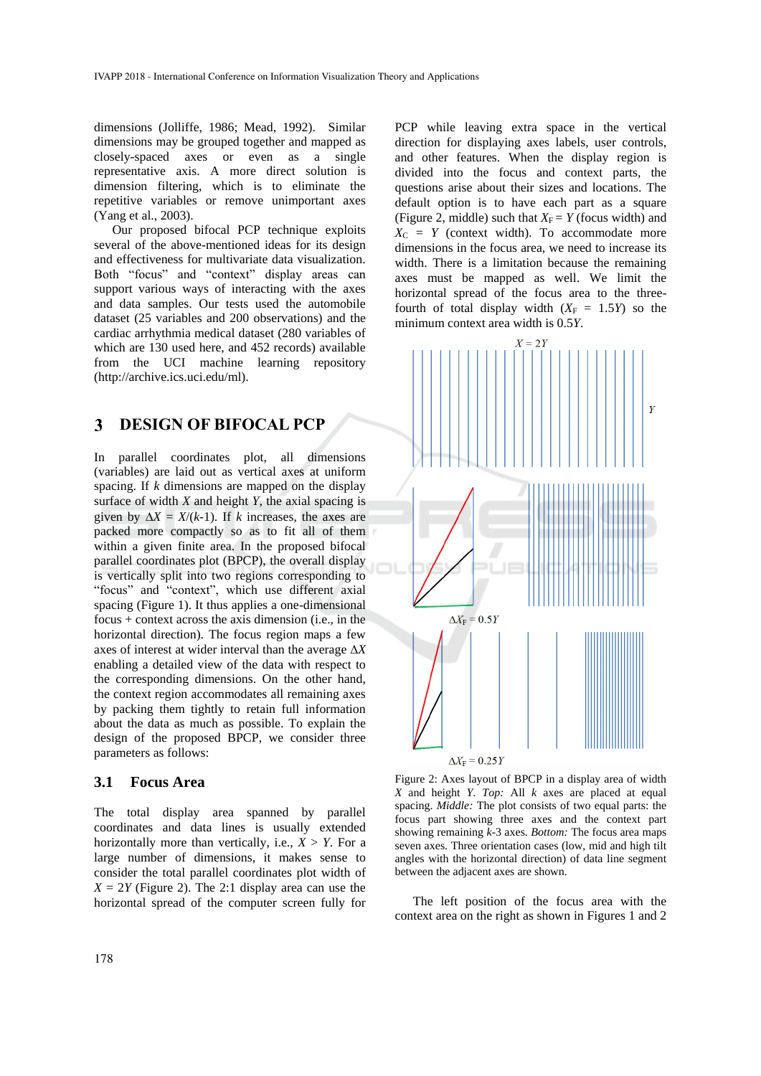dimensions (Jolliffe, 1986; Mead, 1992). Similar dimensions may be grouped together and mapped as closely-spaced axes or even as a single representative axis. A more direct solution is dimension filtering, which is to eliminate the repetitive variables or remove unimportant axes (Yang et al., 2003).

Our proposed bifocal PCP technique exploits several of the above-mentioned ideas for its design and effectiveness for multivariate data visualization. Both "focus" and "context" display areas can support various ways of interacting with the axes and data samples. Our tests used the automobile dataset (25 variables and 200 observations) and the cardiac arrhythmia medical dataset (280 variables of which are 130 used here, and 452 records) available from the UCI machine learning repository (http://archive.ics.uci.edu/ml).

#### **DESIGN OF BIFOCAL PCP** 3

In parallel coordinates plot, all dimensions (variables) are laid out as vertical axes at uniform spacing. If *k* dimensions are mapped on the display surface of width *X* and height *Y*, the axial spacing is given by  $\Delta X = X/(k-1)$ . If *k* increases, the axes are packed more compactly so as to fit all of them within a given finite area. In the proposed bifocal parallel coordinates plot (BPCP), the overall display is vertically split into two regions corresponding to "focus" and "context", which use different axial spacing (Figure 1). It thus applies a one-dimensional focus + context across the axis dimension (i.e., in the horizontal direction). The focus region maps a few axes of interest at wider interval than the average  $\Delta X$ enabling a detailed view of the data with respect to the corresponding dimensions. On the other hand, the context region accommodates all remaining axes by packing them tightly to retain full information about the data as much as possible. To explain the design of the proposed BPCP, we consider three parameters as follows:

### **3.1 Focus Area**

The total display area spanned by parallel coordinates and data lines is usually extended horizontally more than vertically, i.e.,  $X > Y$ . For a large number of dimensions, it makes sense to consider the total parallel coordinates plot width of  $X = 2Y$  (Figure 2). The 2:1 display area can use the horizontal spread of the computer screen fully for

PCP while leaving extra space in the vertical direction for displaying axes labels, user controls, and other features. When the display region is divided into the focus and context parts, the questions arise about their sizes and locations. The default option is to have each part as a square (Figure 2, middle) such that  $X_F = Y$  (focus width) and  $X_C = Y$  (context width). To accommodate more dimensions in the focus area, we need to increase its width. There is a limitation because the remaining axes must be mapped as well. We limit the horizontal spread of the focus area to the threefourth of total display width  $(X_F = 1.5Y)$  so the minimum context area width is 0.5*Y*.



Figure 2: Axes layout of BPCP in a display area of width *X* and height *Y*. *Top:* All *k* axes are placed at equal spacing. *Middle:* The plot consists of two equal parts: the focus part showing three axes and the context part showing remaining *k*-3 axes. *Bottom:* The focus area maps seven axes. Three orientation cases (low, mid and high tilt angles with the horizontal direction) of data line segment

The left position of the focus area with the context area on the right as shown in Figures 1 and 2

between the adjacent axes are shown.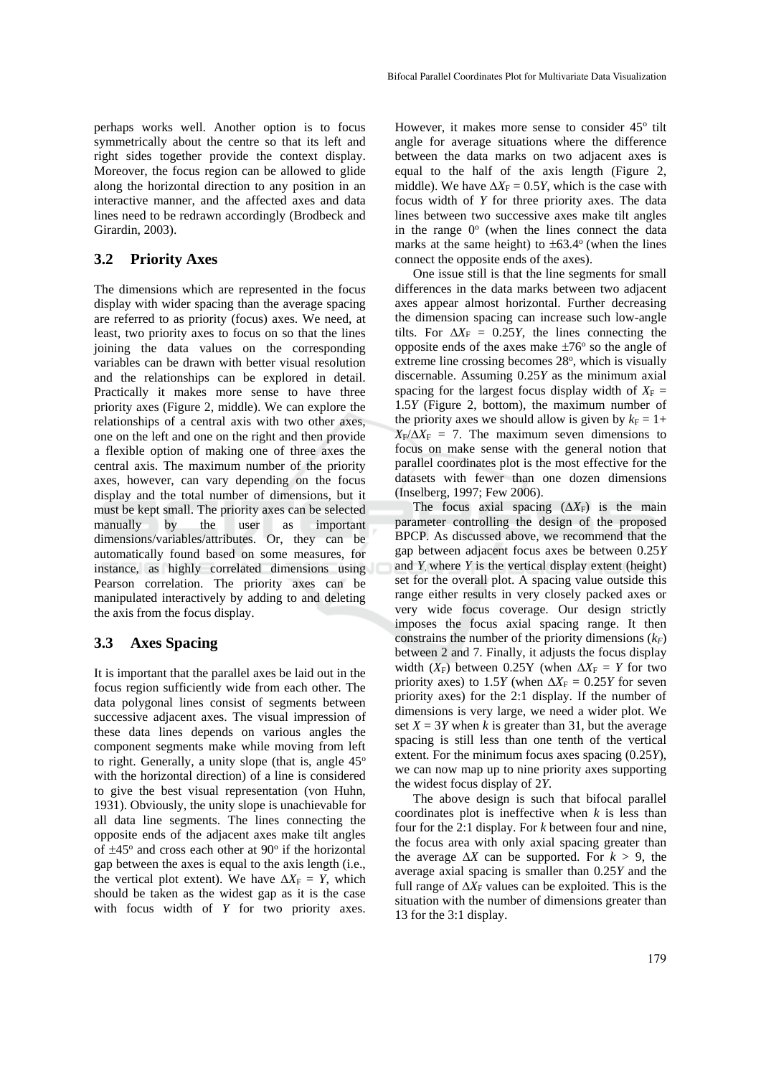perhaps works well. Another option is to focus symmetrically about the centre so that its left and right sides together provide the context display. Moreover, the focus region can be allowed to glide along the horizontal direction to any position in an interactive manner, and the affected axes and data lines need to be redrawn accordingly (Brodbeck and Girardin, 2003).

# **3.2 Priority Axes**

The dimensions which are represented in the focu*s* display with wider spacing than the average spacing are referred to as priority (focus) axes. We need, at least, two priority axes to focus on so that the lines joining the data values on the corresponding variables can be drawn with better visual resolution and the relationships can be explored in detail. Practically it makes more sense to have three priority axes (Figure 2, middle). We can explore the relationships of a central axis with two other axes, one on the left and one on the right and then provide a flexible option of making one of three axes the central axis. The maximum number of the priority axes, however, can vary depending on the focus display and the total number of dimensions, but it must be kept small. The priority axes can be selected<br>manually by the user as important manually by the user as important dimensions/variables/attributes. Or, they can be automatically found based on some measures, for instance, as highly correlated dimensions using Pearson correlation. The priority axes can be manipulated interactively by adding to and deleting the axis from the focus display.

### **3.3 Axes Spacing**

It is important that the parallel axes be laid out in the focus region sufficiently wide from each other. The data polygonal lines consist of segments between successive adjacent axes. The visual impression of these data lines depends on various angles the component segments make while moving from left to right. Generally, a unity slope (that is, angle  $45^\circ$ with the horizontal direction) of a line is considered to give the best visual representation (von Huhn, 1931). Obviously, the unity slope is unachievable for all data line segments. The lines connecting the opposite ends of the adjacent axes make tilt angles of  $\pm 45^\circ$  and cross each other at 90 $^\circ$  if the horizontal gap between the axes is equal to the axis length (i.e., the vertical plot extent). We have  $\Delta X_F = Y$ , which should be taken as the widest gap as it is the case with focus width of *Y* for two priority axes.

However, it makes more sense to consider 45° tilt angle for average situations where the difference between the data marks on two adjacent axes is equal to the half of the axis length (Figure 2, middle). We have  $\Delta X_F = 0.5Y$ , which is the case with focus width of *Y* for three priority axes. The data lines between two successive axes make tilt angles in the range  $0^{\circ}$  (when the lines connect the data marks at the same height) to  $\pm 63.4^{\circ}$  (when the lines connect the opposite ends of the axes).

One issue still is that the line segments for small differences in the data marks between two adjacent axes appear almost horizontal. Further decreasing the dimension spacing can increase such low-angle tilts. For  $\Delta X_F = 0.25Y$ , the lines connecting the opposite ends of the axes make  $\pm 76^\circ$  so the angle of extreme line crossing becomes 28°, which is visually discernable. Assuming 0.25*Y* as the minimum axial spacing for the largest focus display width of  $X_F =$ 1.5*Y* (Figure 2, bottom), the maximum number of the priority axes we should allow is given by  $k_F = 1+$  $X_F/\Delta X_F = 7$ . The maximum seven dimensions to focus on make sense with the general notion that parallel coordinates plot is the most effective for the datasets with fewer than one dozen dimensions (Inselberg, 1997; Few 2006).

The focus axial spacing  $(\Delta X_F)$  is the main parameter controlling the design of the proposed BPCP. As discussed above, we recommend that the gap between adjacent focus axes be between 0.25*Y* and *Y*, where *Y* is the vertical display extent (height) set for the overall plot. A spacing value outside this range either results in very closely packed axes or very wide focus coverage. Our design strictly imposes the focus axial spacing range. It then constrains the number of the priority dimensions  $(k_F)$ between 2 and 7. Finally, it adjusts the focus display width  $(X_F)$  between 0.25Y (when  $\Delta X_F = Y$  for two priority axes) to 1.5*Y* (when  $\Delta X_F = 0.25Y$  for seven priority axes) for the 2:1 display. If the number of dimensions is very large, we need a wider plot. We set  $X = 3Y$  when *k* is greater than 31, but the average spacing is still less than one tenth of the vertical extent. For the minimum focus axes spacing (0.25*Y*), we can now map up to nine priority axes supporting the widest focus display of 2*Y*.

The above design is such that bifocal parallel coordinates plot is ineffective when *k* is less than four for the 2:1 display. For *k* between four and nine, the focus area with only axial spacing greater than the average  $\Delta X$  can be supported. For  $k > 9$ , the average axial spacing is smaller than 0.25*Y* and the full range of  $\Delta X_F$  values can be exploited. This is the situation with the number of dimensions greater than 13 for the 3:1 display.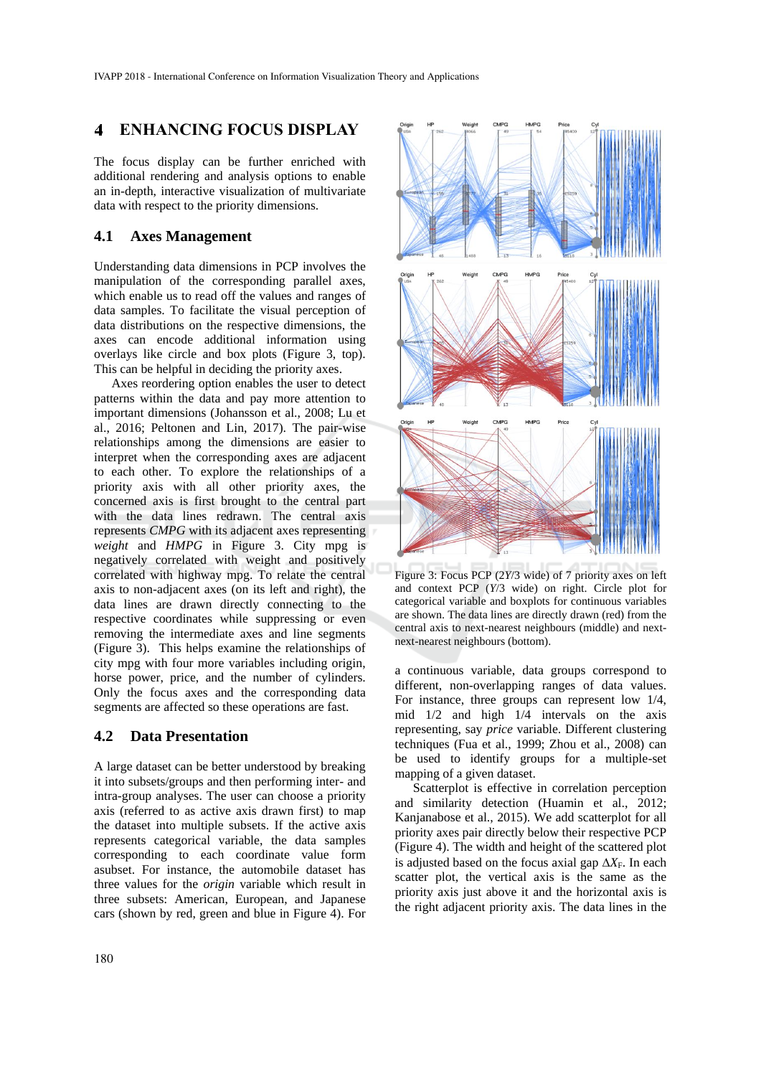#### **ENHANCING FOCUS DISPLAY**  $\blacktriangleleft$

The focus display can be further enriched with additional rendering and analysis options to enable an in-depth, interactive visualization of multivariate data with respect to the priority dimensions.

### **4.1 Axes Management**

Understanding data dimensions in PCP involves the manipulation of the corresponding parallel axes, which enable us to read off the values and ranges of data samples. To facilitate the visual perception of data distributions on the respective dimensions, the axes can encode additional information using overlays like circle and box plots (Figure 3, top). This can be helpful in deciding the priority axes.

Axes reordering option enables the user to detect patterns within the data and pay more attention to important dimensions (Johansson et al., 2008; Lu et al., 2016; Peltonen and Lin, 2017). The pair-wise relationships among the dimensions are easier to interpret when the corresponding axes are adjacent to each other. To explore the relationships of a priority axis with all other priority axes, the concerned axis is first brought to the central part with the data lines redrawn. The central axis represents *CMPG* with its adjacent axes representing *weight* and *HMPG* in Figure 3. City mpg is negatively correlated with weight and positively correlated with highway mpg. To relate the central axis to non-adjacent axes (on its left and right), the data lines are drawn directly connecting to the respective coordinates while suppressing or even removing the intermediate axes and line segments (Figure 3). This helps examine the relationships of city mpg with four more variables including origin, horse power, price, and the number of cylinders. Only the focus axes and the corresponding data segments are affected so these operations are fast.

### **4.2 Data Presentation**

A large dataset can be better understood by breaking it into subsets/groups and then performing inter- and intra-group analyses. The user can choose a priority axis (referred to as active axis drawn first) to map the dataset into multiple subsets. If the active axis represents categorical variable, the data samples corresponding to each coordinate value form asubset. For instance, the automobile dataset has three values for the *origin* variable which result in three subsets: American, European, and Japanese cars (shown by red, green and blue in Figure 4). For



Figure 3: Focus PCP (2*Y*/3 wide) of 7 priority axes on left and context PCP (*Y*/3 wide) on right. Circle plot for categorical variable and boxplots for continuous variables are shown. The data lines are directly drawn (red) from the central axis to next-nearest neighbours (middle) and nextnext-nearest neighbours (bottom).

a continuous variable, data groups correspond to different, non-overlapping ranges of data values. For instance, three groups can represent low 1/4, mid 1/2 and high 1/4 intervals on the axis representing, say *price* variable. Different clustering techniques (Fua et al., 1999; Zhou et al., 2008) can be used to identify groups for a multiple-set mapping of a given dataset.

Scatterplot is effective in correlation perception and similarity detection (Huamin et al., 2012; Kanjanabose et al., 2015). We add scatterplot for all priority axes pair directly below their respective PCP (Figure 4). The width and height of the scattered plot is adjusted based on the focus axial gap  $\Delta X_F$ . In each scatter plot, the vertical axis is the same as the priority axis just above it and the horizontal axis is the right adjacent priority axis. The data lines in the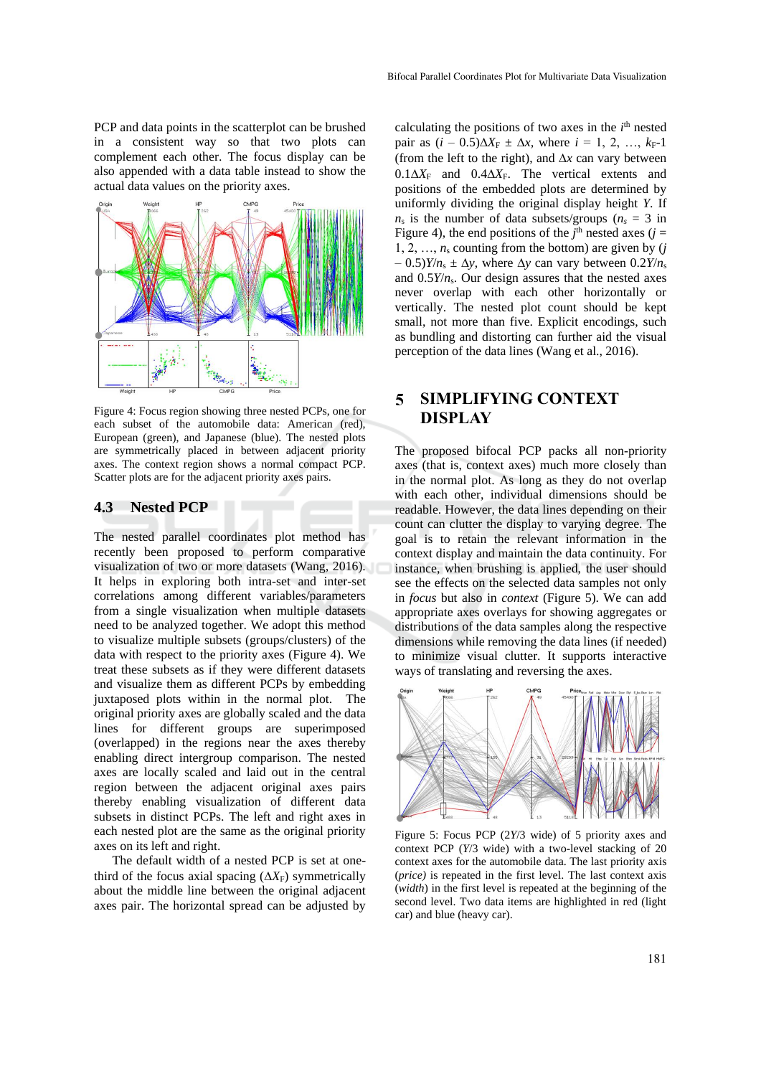PCP and data points in the scatterplot can be brushed in a consistent way so that two plots can complement each other. The focus display can be also appended with a data table instead to show the actual data values on the priority axes.



Figure 4: Focus region showing three nested PCPs, one for each subset of the automobile data: American (red), European (green), and Japanese (blue). The nested plots are symmetrically placed in between adjacent priority axes. The context region shows a normal compact PCP. Scatter plots are for the adjacent priority axes pairs.

### **4.3 Nested PCP**

The nested parallel coordinates plot method has recently been proposed to perform comparative visualization of two or more datasets (Wang, 2016). It helps in exploring both intra-set and inter-set correlations among different variables/parameters from a single visualization when multiple datasets need to be analyzed together. We adopt this method to visualize multiple subsets (groups/clusters) of the data with respect to the priority axes (Figure 4). We treat these subsets as if they were different datasets and visualize them as different PCPs by embedding juxtaposed plots within in the normal plot. The original priority axes are globally scaled and the data lines for different groups are superimposed (overlapped) in the regions near the axes thereby enabling direct intergroup comparison. The nested axes are locally scaled and laid out in the central region between the adjacent original axes pairs thereby enabling visualization of different data subsets in distinct PCPs. The left and right axes in each nested plot are the same as the original priority axes on its left and right.

The default width of a nested PCP is set at onethird of the focus axial spacing  $(\Delta X_F)$  symmetrically about the middle line between the original adjacent axes pair. The horizontal spread can be adjusted by

calculating the positions of two axes in the  $i<sup>th</sup>$  nested pair as  $(i - 0.5)\Delta X_F \pm \Delta x$ , where  $i = 1, 2, ..., k_F-1$ (from the left to the right), and  $\Delta x$  can vary between  $0.1\Delta X_F$  and  $0.4\Delta X_F$ . The vertical extents and positions of the embedded plots are determined by uniformly dividing the original display height *Y*. If  $n_s$  is the number of data subsets/groups ( $n_s = 3$  in Figure 4), the end positions of the  $j^{\text{th}}$  nested axes ( $j =$ 1, 2, ...,  $n_s$  counting from the bottom) are given by  $(j$  $(1 - 0.5)Y/n_s \pm \Delta y$ , where  $\Delta y$  can vary between  $(0.2Y/n_s)$ and  $0.5Y/n<sub>s</sub>$ . Our design assures that the nested axes never overlap with each other horizontally or vertically. The nested plot count should be kept small, not more than five. Explicit encodings, such as bundling and distorting can further aid the visual perception of the data lines (Wang et al., 2016).

### $\overline{\mathbf{5}}$ **SIMPLIFYING CONTEXT DISPLAY**

The proposed bifocal PCP packs all non-priority axes (that is, context axes) much more closely than in the normal plot. As long as they do not overlap with each other, individual dimensions should be readable. However, the data lines depending on their count can clutter the display to varying degree. The goal is to retain the relevant information in the context display and maintain the data continuity. For instance, when brushing is applied, the user should see the effects on the selected data samples not only in *focus* but also in *context* (Figure 5). We can add appropriate axes overlays for showing aggregates or distributions of the data samples along the respective dimensions while removing the data lines (if needed) to minimize visual clutter. It supports interactive ways of translating and reversing the axes.



Figure 5: Focus PCP (2*Y*/3 wide) of 5 priority axes and context PCP (*Y*/3 wide) with a two-level stacking of 20 context axes for the automobile data. The last priority axis (*price)* is repeated in the first level. The last context axis (*width*) in the first level is repeated at the beginning of the second level. Two data items are highlighted in red (light car) and blue (heavy car).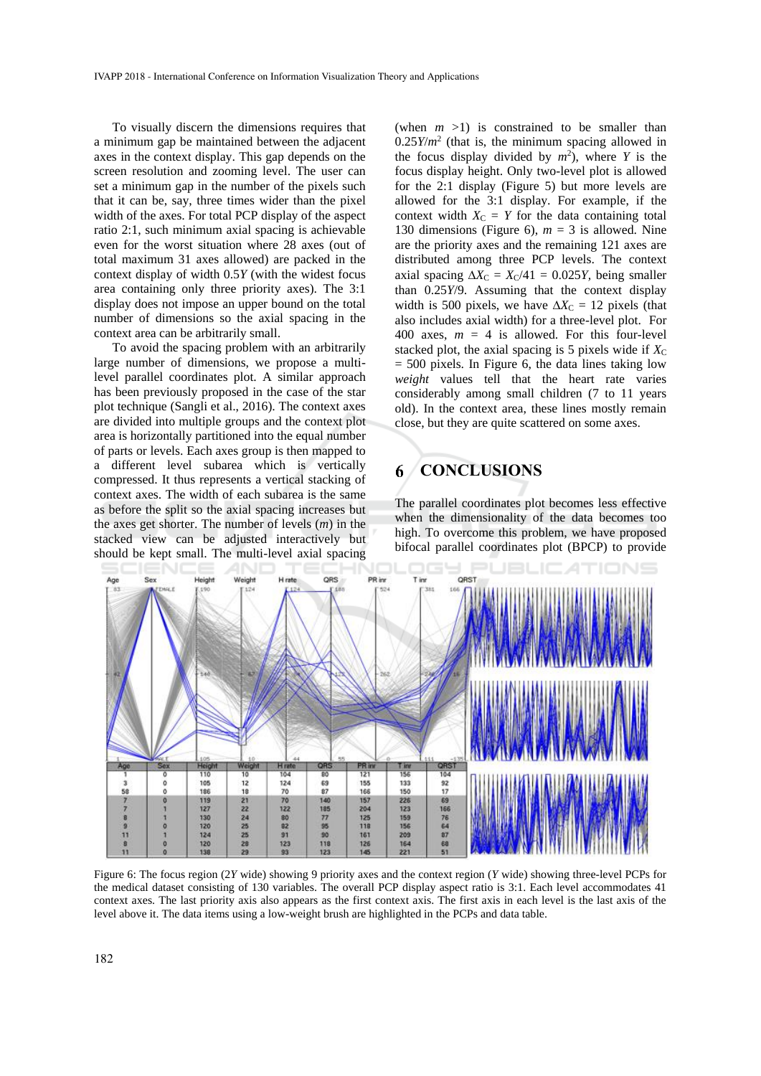To visually discern the dimensions requires that a minimum gap be maintained between the adjacent axes in the context display. This gap depends on the screen resolution and zooming level. The user can set a minimum gap in the number of the pixels such that it can be, say, three times wider than the pixel width of the axes. For total PCP display of the aspect ratio 2:1, such minimum axial spacing is achievable even for the worst situation where 28 axes (out of total maximum 31 axes allowed) are packed in the context display of width 0.5*Y* (with the widest focus area containing only three priority axes). The 3:1 display does not impose an upper bound on the total number of dimensions so the axial spacing in the context area can be arbitrarily small.

To avoid the spacing problem with an arbitrarily large number of dimensions, we propose a multilevel parallel coordinates plot. A similar approach has been previously proposed in the case of the star plot technique (Sangli et al., 2016). The context axes are divided into multiple groups and the context plot area is horizontally partitioned into the equal number of parts or levels. Each axes group is then mapped to a different level subarea which is vertically compressed. It thus represents a vertical stacking of context axes. The width of each subarea is the same as before the split so the axial spacing increases but the axes get shorter. The number of levels (*m*) in the stacked view can be adjusted interactively but should be kept small. The multi-level axial spacing

(when  $m > 1$ ) is constrained to be smaller than  $0.25Y/m<sup>2</sup>$  (that is, the minimum spacing allowed in the focus display divided by  $m^2$ ), where *Y* is the focus display height. Only two-level plot is allowed for the 2:1 display (Figure 5) but more levels are allowed for the 3:1 display. For example, if the context width  $X_C = Y$  for the data containing total 130 dimensions (Figure 6),  $m = 3$  is allowed. Nine are the priority axes and the remaining 121 axes are distributed among three PCP levels. The context axial spacing  $\Delta X_C = X_C/41 = 0.025Y$ , being smaller than 0.25*Y*/9. Assuming that the context display width is 500 pixels, we have  $\Delta X_C = 12$  pixels (that also includes axial width) for a three-level plot. For 400 axes,  $m = 4$  is allowed. For this four-level stacked plot, the axial spacing is  $5$  pixels wide if  $X<sub>C</sub>$  $= 500$  pixels. In Figure 6, the data lines taking low *weight* values tell that the heart rate varies considerably among small children (7 to 11 years old). In the context area, these lines mostly remain close, but they are quite scattered on some axes.

#### 6 **CONCLUSIONS**

The parallel coordinates plot becomes less effective when the dimensionality of the data becomes too high. To overcome this problem, we have proposed bifocal parallel coordinates plot (BPCP) to provide



Figure 6: The focus region (2*Y* wide) showing 9 priority axes and the context region (*Y* wide) showing three-level PCPs for the medical dataset consisting of 130 variables. The overall PCP display aspect ratio is 3:1. Each level accommodates 41 context axes. The last priority axis also appears as the first context axis. The first axis in each level is the last axis of the level above it. The data items using a low-weight brush are highlighted in the PCPs and data table.